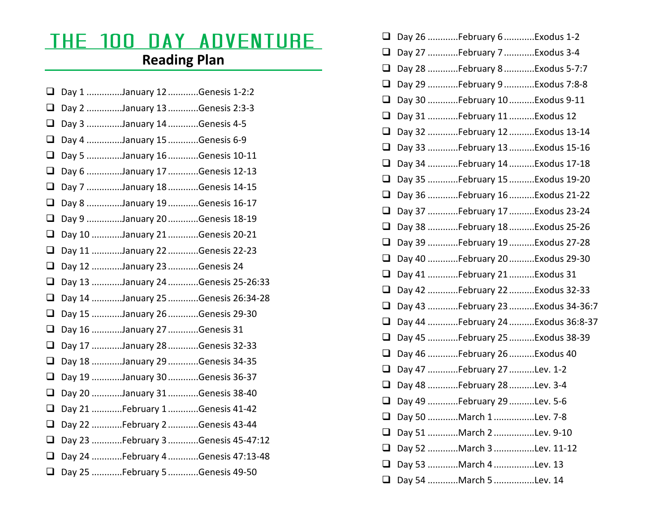## The 100 Day Adventure **Reading Plan**

## Day 1 ..............January 12 ............Genesis 1-2:2  $\Box$  Day 2 ..............January 13 ............Genesis 2:3-3  $\Box$  Day 3 ..............January 14 ............Genesis 4-5 Day 4 ..............January 15 ............Genesis 6-9  $\Box$  Day 5 ..............January 16 ............Genesis 10-11  $\Box$  Day 6 ..............January 17 ............Genesis 12-13  $\Box$  Day 7 ..............January 18 ............Genesis 14-15  $\Box$  Day 8 ..............January 19 ............Genesis 16-17  $\Box$  Day 9 ..............January 20 ............Genesis 18-19  $\Box$  Day 10 ............January 21 ............Genesis 20-21  $\Box$  Day 11 ............January 22 ............Genesis 22-23 ⊔ Day 12 ............January 23 ............Genesis 24  $\Box$  Day 13 ............January 24 ............Genesis 25-26:33  $\Box$  Day 14 ............January 25 ............Genesis 26:34-28  $\Box$  Day 15 ............January 26 ............Genesis 29-30  $\Box$  Day 16 ............January 27 ............Genesis 31  $\Box$  Day 17 ............January 28 ............Genesis 32-33 ⊔ Day 18 ............January 29 ............Genesis 34-35 ⊔ Day 19 ............January 30 ............Genesis 36-37  $\Box$  Day 20 ............January 31 ............Genesis 38-40  $\Box$  Day 21 ............February 1 ............Genesis 41-42  $\Box$  Day 22 ............February 2 ............Genesis 43-44  $\Box$  Day 23 ............February 3 ............Genesis 45-47:12  $\Box$  Day 24 ............February 4 ............Genesis 47:13-48 Day 25 ............February 5 ............Genesis 49-50

| $\Box$ | Day 26 February 6 Exodus 1-2      |
|--------|-----------------------------------|
| ❏      | Day 27 February 7 Exodus 3-4      |
| ⊔      | Day 28 February 8 Exodus 5-7:7    |
| ❏      | Day 29 February 9 Exodus 7:8-8    |
| u      | Day 30 February 10 Exodus 9-11    |
| ❏      | Day 31 February 11 Exodus 12      |
| ❏      | Day 32 February 12 Exodus 13-14   |
| $\Box$ | Day 33 February 13 Exodus 15-16   |
| ❏      | Day 34 February 14 Exodus 17-18   |
| Q      | Day 35 February 15 Exodus 19-20   |
| $\Box$ | Day 36  February 16  Exodus 21-22 |
| ❏      | Day 37 February 17 Exodus 23-24   |
| $\Box$ | Day 38  February 18  Exodus 25-26 |
| Q.     | Day 39 February 19 Exodus 27-28   |
| Q      | Day 40 February 20 Exodus 29-30   |
| Q      | Day 41 February 21 Exodus 31      |
| Q      | Day 42 February 22 Exodus 32-33   |
| $\Box$ | Day 43 February 23 Exodus 34-36:7 |
| Q      | Day 44 February 24 Exodus 36:8-37 |
| $\Box$ | Day 45  February 25  Exodus 38-39 |
| Q      | Day 46 February 26 Exodus 40      |
| $\Box$ | Day 47 February 27 Lev. 1-2       |
| ⊔      | Day 48 February 28 Lev. 3-4       |
| ⊔      | Day 49 February 29 Lev. 5-6       |
| ❏      | Day 50 March 1 Lev. 7-8           |
| ⊔      | Day 51 March 2 Lev. 9-10          |
| $\Box$ | Day 52 March 3 Lev. 11-12         |
| ப      | Day 53 March 4 Lev. 13            |
|        | Day 54 March 5 Lev. 14            |
|        |                                   |